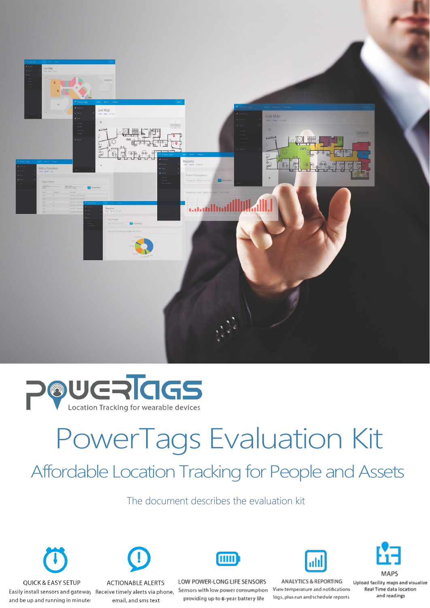



# PowerTags Evaluation Kit Affordable Location Tracking for People and Assets

The document describes the evaluation kit





Receive timely alerts via phone, email, and sms text



LOW POWER-LONG LIFE SENSORS Sensors with low power consumption providing up to 6-year battery life



ANALYTICS & REPORTING View temperature and notifications logs, plus run and schedule reports

**MAPS** 

Upload facility maps and visualize Real Time data location and readings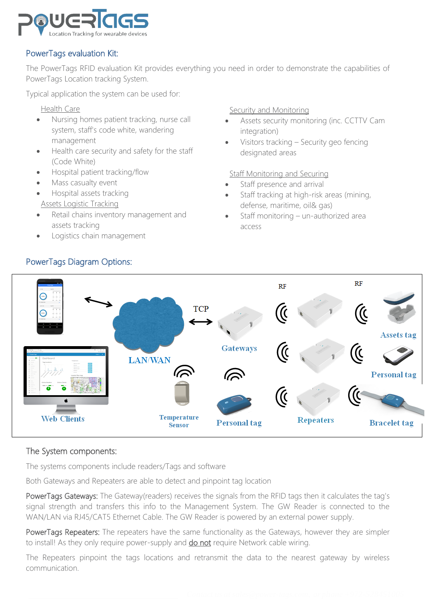

#### PowerTags evaluation Kit:

The PowerTags RFID evaluation Kit provides everything you need in order to demonstrate the capabilities of PowerTags Location tracking System.

Typical application the system can be used for:

Health Care

- Nursing homes patient tracking, nurse call system, staff's code white, wandering management
- Health care security and safety for the staff (Code White)
- Hospital patient tracking/flow
- Mass casualty event
- Hospital assets tracking Assets Logistic Tracking
- Retail chains inventory management and assets tracking
- Logistics chain management

Security and Monitoring

- Assets security monitoring (inc. CCTTV Cam integration)
- Visitors tracking Security geo fencing designated areas

Staff Monitoring and Securing

- Staff presence and arrival
- Staff tracking at high-risk areas (mining, defense, maritime, oil& gas)
- Staff monitoring un-authorized area access



### PowerTags Diagram Options:

#### The System components:

The systems components include readers/Tags and software

Both Gateways and Repeaters are able to detect and pinpoint tag location

PowerTags Gateways: The Gateway(readers) receives the signals from the RFID tags then it calculates the tag's signal strength and transfers this info to the Management System. The GW Reader is connected to the WAN/LAN via RJ45/CAT5 Ethernet Cable. The GW Reader is powered by an external power supply.

PowerTags Repeaters: The repeaters have the same functionality as the Gateways, however they are simpler to install! As they only require power-supply and **do not** require Network cable wiring.

The Repeaters pinpoint the tags locations and retransmit the data to the nearest gateway by wireless communication.